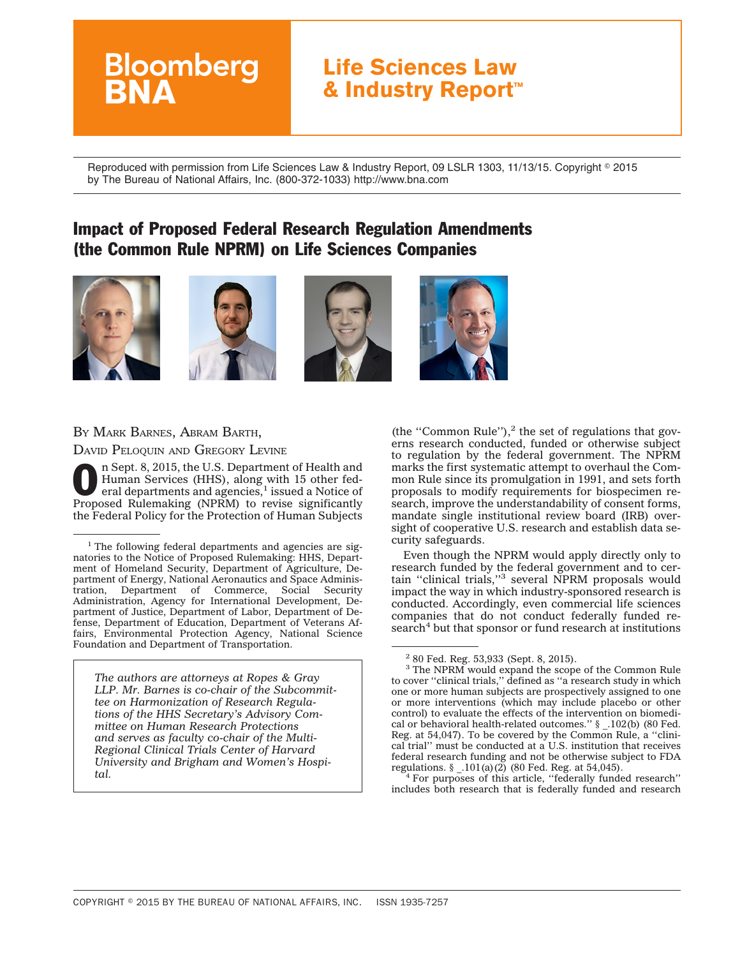# **Life Sciences Law & Industry Report™**

Reproduced with permission from Life Sciences Law & Industry Report, 09 LSLR 1303, 11/13/15. Copyright © 2015 by The Bureau of National Affairs, Inc. (800-372-1033) http://www.bna.com

## Impact of Proposed Federal Research Regulation Amendments (the Common Rule NPRM) on Life Sciences Companies









#### BY MARK BARNES, ABRAM BARTH,

DAVID PELOQUIN AND GREGORY LEVINE

**Bloomberg** 

**O n Sept. 8, 2015, the U.S. Department of Health and Human Services (HHS), along with 15 other federal departments and agencies,<sup>1</sup> issued a Notice of Proposed exploration (NDPM), to revise similization** Human Services (HHS), along with 15 other fed-<br>eral departments and agencies,<sup>1</sup> issued a Notice of Proposed Rulemaking (NPRM) to revise significantly the Federal Policy for the Protection of Human Subjects

*The authors are attorneys at Ropes & Gray LLP. Mr. Barnes is co-chair of the Subcommittee on Harmonization of Research Regulations of the HHS Secretary's Advisory Committee on Human Research Protections and serves as faculty co-chair of the Multi-Regional Clinical Trials Center of Harvard University and Brigham and Women's Hospital.*

(the "Common Rule"), $<sup>2</sup>$  the set of regulations that gov-</sup> erns research conducted, funded or otherwise subject to regulation by the federal government. The NPRM marks the first systematic attempt to overhaul the Common Rule since its promulgation in 1991, and sets forth proposals to modify requirements for biospecimen research, improve the understandability of consent forms, mandate single institutional review board (IRB) oversight of cooperative U.S. research and establish data security safeguards.

Even though the NPRM would apply directly only to research funded by the federal government and to certain ''clinical trials,''3 several NPRM proposals would impact the way in which industry-sponsored research is conducted. Accordingly, even commercial life sciences companies that do not conduct federally funded research<sup>4</sup> but that sponsor or fund research at institutions

For purposes of this article, "federally funded research" includes both research that is federally funded and research

<sup>&</sup>lt;sup>1</sup> The following federal departments and agencies are signatories to the Notice of Proposed Rulemaking: HHS, Department of Homeland Security, Department of Agriculture, Department of Energy, National Aeronautics and Space Administration, Department of Commerce, Social Security Administration, Agency for International Development, Department of Justice, Department of Labor, Department of Defense, Department of Education, Department of Veterans Affairs, Environmental Protection Agency, National Science Foundation and Department of Transportation.

<sup>2</sup> 80 Fed. Reg. 53,933 (Sept. 8, 2015).

<sup>3</sup> The NPRM would expand the scope of the Common Rule to cover ''clinical trials,'' defined as ''a research study in which one or more human subjects are prospectively assigned to one or more interventions (which may include placebo or other control) to evaluate the effects of the intervention on biomedical or behavioral health-related outcomes.'' § \_.102(b) (80 Fed. Reg. at 54,047). To be covered by the Common Rule, a ''clinical trial'' must be conducted at a U.S. institution that receives federal research funding and not be otherwise subject to FDA regulations.  $\S$  .101(a)(2) (80 Fed. Reg. at 54,045).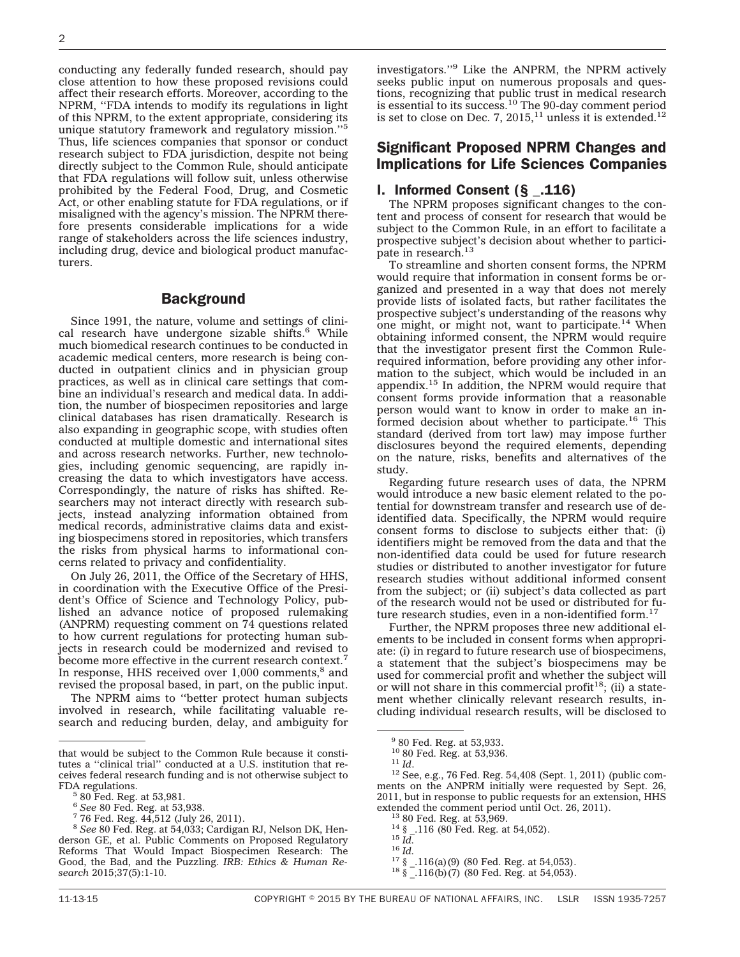conducting any federally funded research, should pay close attention to how these proposed revisions could affect their research efforts. Moreover, according to the NPRM, ''FDA intends to modify its regulations in light of this NPRM, to the extent appropriate, considering its unique statutory framework and regulatory mission."<sup>5</sup> Thus, life sciences companies that sponsor or conduct research subject to FDA jurisdiction, despite not being directly subject to the Common Rule, should anticipate that FDA regulations will follow suit, unless otherwise prohibited by the Federal Food, Drug, and Cosmetic Act, or other enabling statute for FDA regulations, or if misaligned with the agency's mission. The NPRM therefore presents considerable implications for a wide range of stakeholders across the life sciences industry, including drug, device and biological product manufacturers.

#### **Background**

Since 1991, the nature, volume and settings of clinical research have undergone sizable shifts.<sup>6</sup> While much biomedical research continues to be conducted in academic medical centers, more research is being conducted in outpatient clinics and in physician group practices, as well as in clinical care settings that combine an individual's research and medical data. In addition, the number of biospecimen repositories and large clinical databases has risen dramatically. Research is also expanding in geographic scope, with studies often conducted at multiple domestic and international sites and across research networks. Further, new technologies, including genomic sequencing, are rapidly increasing the data to which investigators have access. Correspondingly, the nature of risks has shifted. Researchers may not interact directly with research subjects, instead analyzing information obtained from medical records, administrative claims data and existing biospecimens stored in repositories, which transfers the risks from physical harms to informational concerns related to privacy and confidentiality.

On July 26, 2011, the Office of the Secretary of HHS, in coordination with the Executive Office of the President's Office of Science and Technology Policy, published an advance notice of proposed rulemaking (ANPRM) requesting comment on 74 questions related to how current regulations for protecting human subjects in research could be modernized and revised to become more effective in the current research context.<sup>7</sup> In response, HHS received over  $1,000$  comments, $8$  and revised the proposal based, in part, on the public input.

The NPRM aims to ''better protect human subjects involved in research, while facilitating valuable research and reducing burden, delay, and ambiguity for investigators.''9 Like the ANPRM, the NPRM actively seeks public input on numerous proposals and questions, recognizing that public trust in medical research is essential to its success.<sup>10</sup> The 90-day comment period is set to close on Dec. 7,  $2015$ ,<sup>11</sup> unless it is extended.<sup>12</sup>

## Significant Proposed NPRM Changes and Implications for Life Sciences Companies

#### I. Informed Consent (§ \_.116)

The NPRM proposes significant changes to the content and process of consent for research that would be subject to the Common Rule, in an effort to facilitate a prospective subject's decision about whether to participate in research.<sup>13</sup>

To streamline and shorten consent forms, the NPRM would require that information in consent forms be organized and presented in a way that does not merely provide lists of isolated facts, but rather facilitates the prospective subject's understanding of the reasons why one might, or might not, want to participate.<sup>14</sup> When obtaining informed consent, the NPRM would require that the investigator present first the Common Rulerequired information, before providing any other information to the subject, which would be included in an appendix.15 In addition, the NPRM would require that consent forms provide information that a reasonable person would want to know in order to make an informed decision about whether to participate.<sup>16</sup> This standard (derived from tort law) may impose further disclosures beyond the required elements, depending on the nature, risks, benefits and alternatives of the study.

Regarding future research uses of data, the NPRM would introduce a new basic element related to the potential for downstream transfer and research use of deidentified data. Specifically, the NPRM would require consent forms to disclose to subjects either that: (i) identifiers might be removed from the data and that the non-identified data could be used for future research studies or distributed to another investigator for future research studies without additional informed consent from the subject; or (ii) subject's data collected as part of the research would not be used or distributed for future research studies, even in a non-identified form.<sup>17</sup>

Further, the NPRM proposes three new additional elements to be included in consent forms when appropriate: (i) in regard to future research use of biospecimens, a statement that the subject's biospecimens may be used for commercial profit and whether the subject will or will not share in this commercial profit<sup>18</sup>; (ii) a statement whether clinically relevant research results, including individual research results, will be disclosed to

<sup>11</sup> *Id.* <sup>12</sup> See, e.g., 76 Fed. Reg. 54,408 (Sept. 1, 2011) (public comments on the ANPRM initially were requested by Sept. 26, 2011, but in response to public requests for an extension, HHS extended the comment period until Oct. 26, 2011).<br><sup>13</sup> 80 Fed. Reg. at 53,969.<br><sup>14</sup> § ..116 (80 Fed. Reg. at 54,052).<br><sup>15</sup> *Id.*<br><sup>17</sup> § ..116(a)(9) (80 Fed. Reg. at 54,053).<br><sup>18</sup> § ..116(b)(7) (80 Fed. Reg. at 54,053).

that would be subject to the Common Rule because it constitutes a ''clinical trial'' conducted at a U.S. institution that receives federal research funding and is not otherwise subject to

 $^{5}$  80 Fed. Reg. at 53,981.<br> $^{6}$  See 80 Fed. Reg. at 53,938.

<sup>&</sup>lt;sup>7</sup> 76 Fed. Reg. 44,512 (July 26, 2011).

<sup>8</sup> *See* 80 Fed. Reg. at 54,033; Cardigan RJ, Nelson DK, Henderson GE, et al. Public Comments on Proposed Regulatory Reforms That Would Impact Biospecimen Research: The Good, the Bad, and the Puzzling. *IRB: Ethics & Human Research* 2015;37(5):1-10.

 $^{9}$  80 Fed. Reg. at 53,933.<br> $^{10}$  80 Fed. Reg. at 53,936.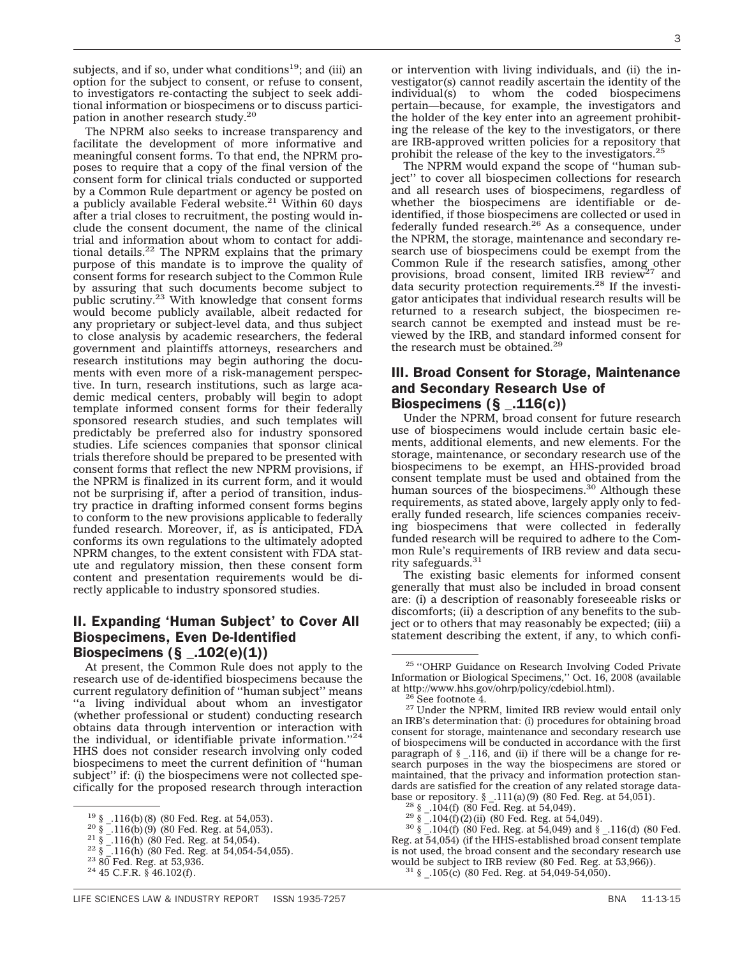subjects, and if so, under what conditions<sup>19</sup>; and (iii) an option for the subject to consent, or refuse to consent, to investigators re-contacting the subject to seek additional information or biospecimens or to discuss participation in another research study.20

The NPRM also seeks to increase transparency and facilitate the development of more informative and meaningful consent forms. To that end, the NPRM proposes to require that a copy of the final version of the consent form for clinical trials conducted or supported by a Common Rule department or agency be posted on a publicly available Federal website.<sup>21</sup> Within 60 days after a trial closes to recruitment, the posting would include the consent document, the name of the clinical trial and information about whom to contact for additional details.<sup>22</sup> The NPRM explains that the primary purpose of this mandate is to improve the quality of consent forms for research subject to the Common Rule by assuring that such documents become subject to public scrutiny.<sup>23</sup> With knowledge that consent forms would become publicly available, albeit redacted for any proprietary or subject-level data, and thus subject to close analysis by academic researchers, the federal government and plaintiffs attorneys, researchers and research institutions may begin authoring the documents with even more of a risk-management perspective. In turn, research institutions, such as large academic medical centers, probably will begin to adopt template informed consent forms for their federally sponsored research studies, and such templates will predictably be preferred also for industry sponsored studies. Life sciences companies that sponsor clinical trials therefore should be prepared to be presented with consent forms that reflect the new NPRM provisions, if the NPRM is finalized in its current form, and it would not be surprising if, after a period of transition, industry practice in drafting informed consent forms begins to conform to the new provisions applicable to federally funded research. Moreover, if, as is anticipated, FDA conforms its own regulations to the ultimately adopted NPRM changes, to the extent consistent with FDA statute and regulatory mission, then these consent form content and presentation requirements would be directly applicable to industry sponsored studies.

## II. Expanding 'Human Subject' to Cover All Biospecimens, Even De-Identified Biospecimens  $(\S_$  \_.102(e)(1))

At present, the Common Rule does not apply to the research use of de-identified biospecimens because the current regulatory definition of ''human subject'' means ''a living individual about whom an investigator (whether professional or student) conducting research obtains data through intervention or interaction with the individual, or identifiable private information.''24 HHS does not consider research involving only coded biospecimens to meet the current definition of ''human subject" if: (i) the biospecimens were not collected specifically for the proposed research through interaction

or intervention with living individuals, and (ii) the investigator(s) cannot readily ascertain the identity of the individual(s) to whom the coded biospecimens pertain—because, for example, the investigators and the holder of the key enter into an agreement prohibiting the release of the key to the investigators, or there are IRB-approved written policies for a repository that prohibit the release of the key to the investigators.<sup>2</sup>

The NPRM would expand the scope of ''human subject'' to cover all biospecimen collections for research and all research uses of biospecimens, regardless of whether the biospecimens are identifiable or deidentified, if those biospecimens are collected or used in federally funded research. $26$  As a consequence, under the NPRM, the storage, maintenance and secondary research use of biospecimens could be exempt from the Common Rule if the research satisfies, among other provisions, broad consent, limited IRB review<sup>27</sup> and data security protection requirements.<sup>28</sup> If the investigator anticipates that individual research results will be returned to a research subject, the biospecimen research cannot be exempted and instead must be reviewed by the IRB, and standard informed consent for the research must be obtained.<sup>29</sup>

#### III. Broad Consent for Storage, Maintenance and Secondary Research Use of Biospecimens  $(\S$  .116(c))

Under the NPRM, broad consent for future research use of biospecimens would include certain basic elements, additional elements, and new elements. For the storage, maintenance, or secondary research use of the biospecimens to be exempt, an HHS-provided broad consent template must be used and obtained from the human sources of the biospecimens.<sup>30</sup> Although these requirements, as stated above, largely apply only to federally funded research, life sciences companies receiving biospecimens that were collected in federally funded research will be required to adhere to the Common Rule's requirements of IRB review and data security safeguards.<sup>31</sup>

The existing basic elements for informed consent generally that must also be included in broad consent are: (i) a description of reasonably foreseeable risks or discomforts; (ii) a description of any benefits to the subject or to others that may reasonably be expected; (iii) a statement describing the extent, if any, to which confi-

<sup>&</sup>lt;sup>19</sup> § -.116(b) (8) (80 Fed. Reg. at 54,053).<br>
<sup>20</sup> § -.116(b) (9) (80 Fed. Reg. at 54,053).<br>
<sup>21</sup> § -.116(h) (80 Fed. Reg. at 54,054).<br>
<sup>22</sup> § -.116(h) (80 Fed. Reg. at 54,054-54,055).<br>
<sup>23</sup> 80 Fed. Reg. at 53,936.<br>
<sup>24</sup>

<sup>25</sup> ''OHRP Guidance on Research Involving Coded Private Information or Biological Specimens,'' Oct. 16, 2008 (available

<sup>&</sup>lt;sup>26</sup> See footnote 4.  $\frac{26}{27}$  Under the NPRM, limited IRB review would entail only an IRB's determination that: (i) procedures for obtaining broad consent for storage, maintenance and secondary research use of biospecimens will be conducted in accordance with the first paragraph of § \_.116, and (ii) if there will be a change for research purposes in the way the biospecimens are stored or maintained, that the privacy and information protection standards are satisfied for the creation of any related storage data-<br>base or repository.  $\S$  \_111(a)(9) (80 Fed. Reg. at 54,051).

<sup>&</sup>lt;sup>28</sup> §  $-104(f)$  (80 Fed. Reg. at 54,049).<br><sup>29</sup> §  $-104(f)$  (2) (ii) (80 Fed. Reg. at 54,049).<br><sup>30</sup> §  $-104(f)$  (80 Fed. Reg. at 54,049) and §  $-116(d)$  (80 Fed. Reg. at 54,054) (if the HHS-established broad consent template is not used, the broad consent and the secondary research use would be subject to IRB review (80 Fed. Reg. at 53,966)). <sup>31</sup> § .105(c) (80 Fed. Reg. at 54,049-54,050).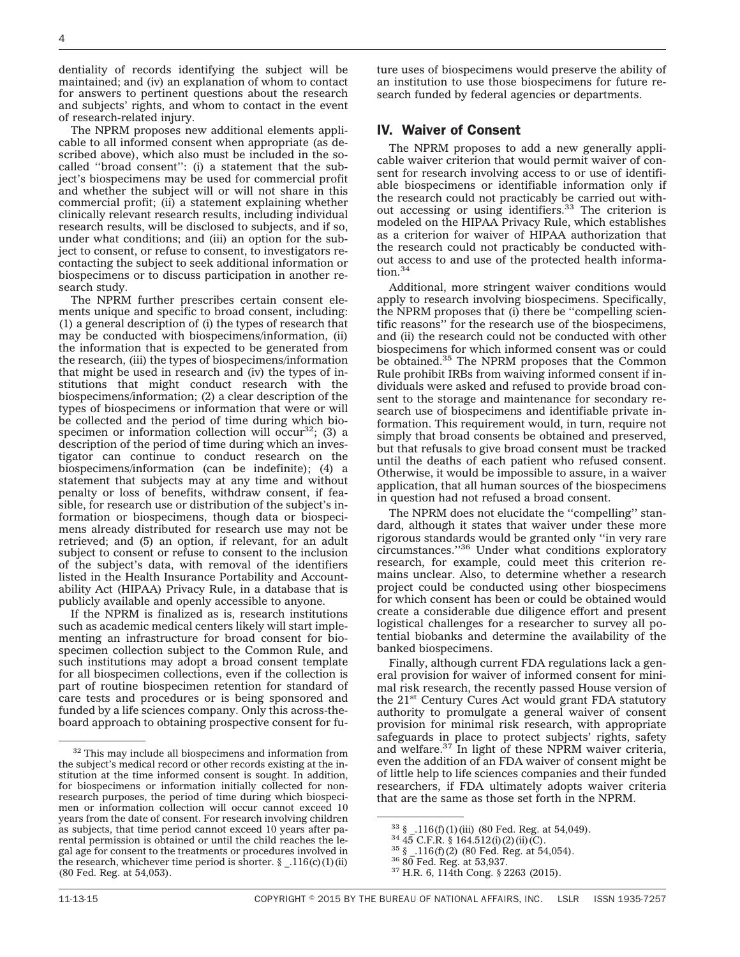dentiality of records identifying the subject will be maintained; and (iv) an explanation of whom to contact for answers to pertinent questions about the research and subjects' rights, and whom to contact in the event of research-related injury.

The NPRM proposes new additional elements applicable to all informed consent when appropriate (as described above), which also must be included in the socalled ''broad consent'': (i) a statement that the subject's biospecimens may be used for commercial profit and whether the subject will or will not share in this commercial profit; (ii) a statement explaining whether clinically relevant research results, including individual research results, will be disclosed to subjects, and if so, under what conditions; and (iii) an option for the subject to consent, or refuse to consent, to investigators recontacting the subject to seek additional information or biospecimens or to discuss participation in another research study.

The NPRM further prescribes certain consent elements unique and specific to broad consent, including: (1) a general description of (i) the types of research that may be conducted with biospecimens/information, (ii) the information that is expected to be generated from the research, (iii) the types of biospecimens/information that might be used in research and (iv) the types of institutions that might conduct research with the biospecimens/information; (2) a clear description of the types of biospecimens or information that were or will be collected and the period of time during which biospecimen or information collection will occur<sup>32</sup>; (3) a description of the period of time during which an investigator can continue to conduct research on the biospecimens/information (can be indefinite); (4) a statement that subjects may at any time and without penalty or loss of benefits, withdraw consent, if feasible, for research use or distribution of the subject's information or biospecimens, though data or biospecimens already distributed for research use may not be retrieved; and (5) an option, if relevant, for an adult subject to consent or refuse to consent to the inclusion of the subject's data, with removal of the identifiers listed in the Health Insurance Portability and Accountability Act (HIPAA) Privacy Rule, in a database that is publicly available and openly accessible to anyone.

If the NPRM is finalized as is, research institutions such as academic medical centers likely will start implementing an infrastructure for broad consent for biospecimen collection subject to the Common Rule, and such institutions may adopt a broad consent template for all biospecimen collections, even if the collection is part of routine biospecimen retention for standard of care tests and procedures or is being sponsored and funded by a life sciences company. Only this across-theboard approach to obtaining prospective consent for future uses of biospecimens would preserve the ability of an institution to use those biospecimens for future research funded by federal agencies or departments.

#### IV. Waiver of Consent

The NPRM proposes to add a new generally applicable waiver criterion that would permit waiver of consent for research involving access to or use of identifiable biospecimens or identifiable information only if the research could not practicably be carried out without accessing or using identifiers.<sup>33</sup> The criterion is modeled on the HIPAA Privacy Rule, which establishes as a criterion for waiver of HIPAA authorization that the research could not practicably be conducted without access to and use of the protected health information.<sup>34</sup>

Additional, more stringent waiver conditions would apply to research involving biospecimens. Specifically, the NPRM proposes that (i) there be ''compelling scientific reasons'' for the research use of the biospecimens, and (ii) the research could not be conducted with other biospecimens for which informed consent was or could be obtained.35 The NPRM proposes that the Common Rule prohibit IRBs from waiving informed consent if individuals were asked and refused to provide broad consent to the storage and maintenance for secondary research use of biospecimens and identifiable private information. This requirement would, in turn, require not simply that broad consents be obtained and preserved, but that refusals to give broad consent must be tracked until the deaths of each patient who refused consent. Otherwise, it would be impossible to assure, in a waiver application, that all human sources of the biospecimens in question had not refused a broad consent.

The NPRM does not elucidate the ''compelling'' standard, although it states that waiver under these more rigorous standards would be granted only ''in very rare circumstances.''36 Under what conditions exploratory research, for example, could meet this criterion remains unclear. Also, to determine whether a research project could be conducted using other biospecimens for which consent has been or could be obtained would create a considerable due diligence effort and present logistical challenges for a researcher to survey all potential biobanks and determine the availability of the banked biospecimens.

Finally, although current FDA regulations lack a general provision for waiver of informed consent for minimal risk research, the recently passed House version of the 21<sup>st</sup> Century Cures Act would grant FDA statutory authority to promulgate a general waiver of consent provision for minimal risk research, with appropriate safeguards in place to protect subjects' rights, safety and welfare.37 In light of these NPRM waiver criteria, even the addition of an FDA waiver of consent might be of little help to life sciences companies and their funded researchers, if FDA ultimately adopts waiver criteria that are the same as those set forth in the NPRM.

<sup>&</sup>lt;sup>32</sup> This may include all biospecimens and information from the subject's medical record or other records existing at the institution at the time informed consent is sought. In addition, for biospecimens or information initially collected for nonresearch purposes, the period of time during which biospecimen or information collection will occur cannot exceed 10 years from the date of consent. For research involving children as subjects, that time period cannot exceed 10 years after parental permission is obtained or until the child reaches the legal age for consent to the treatments or procedures involved in the research, whichever time period is shorter.  $\S$  .116(c)(1)(ii) (80 Fed. Reg. at 54,053).

<sup>&</sup>lt;sup>33</sup> §  $\_$ .116(f)(1)(iii) (80 Fed. Reg. at 54,049).<br><sup>34</sup> 45 C.F.R. § 164.512(i)(2)(ii)(C).<br><sup>35</sup> §  $\_$ .116(f)(2) (80 Fed. Reg. at 54,054).<br><sup>36</sup> 80 Fed. Reg. at 53,937.<br><sup>37</sup> H.R. 6, 114th Cong. § 2263 (2015).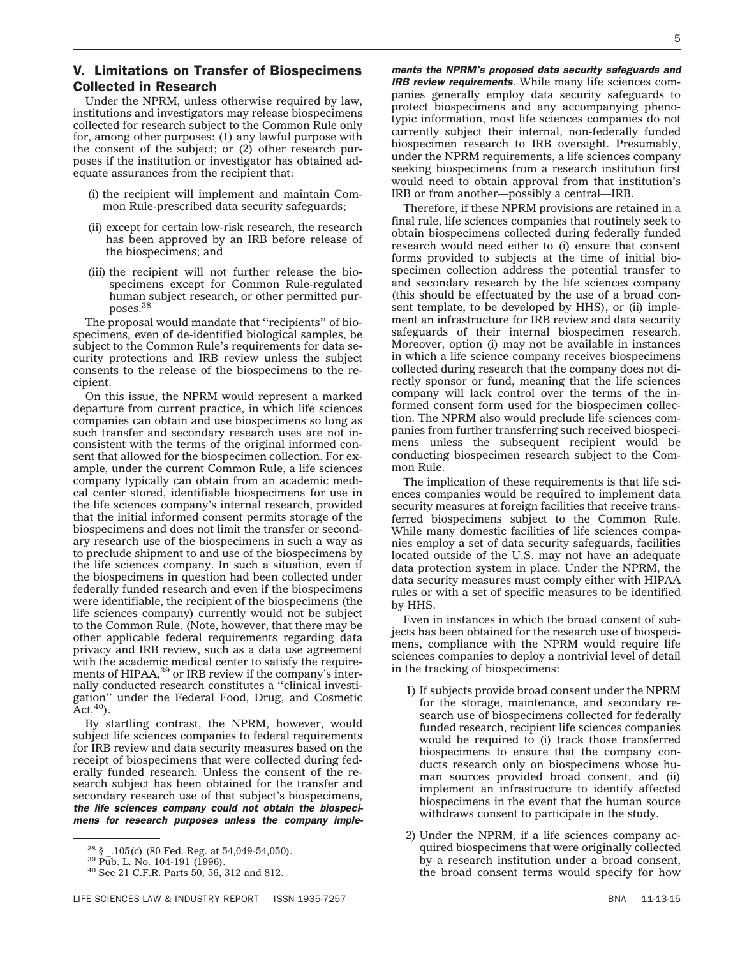#### V. Limitations on Transfer of Biospecimens Collected in Research

Under the NPRM, unless otherwise required by law, institutions and investigators may release biospecimens collected for research subject to the Common Rule only for, among other purposes: (1) any lawful purpose with the consent of the subject; or (2) other research purposes if the institution or investigator has obtained adequate assurances from the recipient that:

- (i) the recipient will implement and maintain Common Rule-prescribed data security safeguards;
- (ii) except for certain low-risk research, the research has been approved by an IRB before release of the biospecimens; and
- (iii) the recipient will not further release the biospecimens except for Common Rule-regulated human subject research, or other permitted purposes.38

The proposal would mandate that ''recipients'' of biospecimens, even of de-identified biological samples, be subject to the Common Rule's requirements for data security protections and IRB review unless the subject consents to the release of the biospecimens to the recipient.

On this issue, the NPRM would represent a marked departure from current practice, in which life sciences companies can obtain and use biospecimens so long as such transfer and secondary research uses are not inconsistent with the terms of the original informed consent that allowed for the biospecimen collection. For example, under the current Common Rule, a life sciences company typically can obtain from an academic medical center stored, identifiable biospecimens for use in the life sciences company's internal research, provided that the initial informed consent permits storage of the biospecimens and does not limit the transfer or secondary research use of the biospecimens in such a way as to preclude shipment to and use of the biospecimens by the life sciences company. In such a situation, even if the biospecimens in question had been collected under federally funded research and even if the biospecimens were identifiable, the recipient of the biospecimens (the life sciences company) currently would not be subject to the Common Rule. (Note, however, that there may be other applicable federal requirements regarding data privacy and IRB review, such as a data use agreement with the academic medical center to satisfy the requirements of HIPAA,<sup>39</sup> or IRB review if the company's internally conducted research constitutes a ''clinical investigation'' under the Federal Food, Drug, and Cosmetic  $Act.<sup>40</sup>$ ).

By startling contrast, the NPRM, however, would subject life sciences companies to federal requirements for IRB review and data security measures based on the receipt of biospecimens that were collected during federally funded research. Unless the consent of the research subject has been obtained for the transfer and secondary research use of that subject's biospecimens, *the life sciences company could not obtain the biospecimens for research purposes unless the company imple-*

*ments the NPRM's proposed data security safeguards and IRB review requirements*. While many life sciences companies generally employ data security safeguards to protect biospecimens and any accompanying phenotypic information, most life sciences companies do not currently subject their internal, non-federally funded biospecimen research to IRB oversight. Presumably, under the NPRM requirements, a life sciences company seeking biospecimens from a research institution first would need to obtain approval from that institution's IRB or from another—possibly a central—IRB.

Therefore, if these NPRM provisions are retained in a final rule, life sciences companies that routinely seek to obtain biospecimens collected during federally funded research would need either to (i) ensure that consent forms provided to subjects at the time of initial biospecimen collection address the potential transfer to and secondary research by the life sciences company (this should be effectuated by the use of a broad consent template, to be developed by HHS), or (ii) implement an infrastructure for IRB review and data security safeguards of their internal biospecimen research. Moreover, option (i) may not be available in instances in which a life science company receives biospecimens collected during research that the company does not directly sponsor or fund, meaning that the life sciences company will lack control over the terms of the informed consent form used for the biospecimen collection. The NPRM also would preclude life sciences companies from further transferring such received biospecimens unless the subsequent recipient would be conducting biospecimen research subject to the Common Rule.

The implication of these requirements is that life sciences companies would be required to implement data security measures at foreign facilities that receive transferred biospecimens subject to the Common Rule. While many domestic facilities of life sciences companies employ a set of data security safeguards, facilities located outside of the U.S. may not have an adequate data protection system in place. Under the NPRM, the data security measures must comply either with HIPAA rules or with a set of specific measures to be identified by HHS.

Even in instances in which the broad consent of subjects has been obtained for the research use of biospecimens, compliance with the NPRM would require life sciences companies to deploy a nontrivial level of detail in the tracking of biospecimens:

- 1) If subjects provide broad consent under the NPRM for the storage, maintenance, and secondary research use of biospecimens collected for federally funded research, recipient life sciences companies would be required to (i) track those transferred biospecimens to ensure that the company conducts research only on biospecimens whose human sources provided broad consent, and (ii) implement an infrastructure to identify affected biospecimens in the event that the human source withdraws consent to participate in the study.
- 2) Under the NPRM, if a life sciences company acquired biospecimens that were originally collected by a research institution under a broad consent, the broad consent terms would specify for how

 $38 \text{ }\frac{1}{39}$  Pub. L. No. 104-191 (1996).<br> $39 \text{ }$  Pub. L. No. 104-191 (1996).<br> $40 \text{ }$  See 21 C.F.R. Parts 50, 56, 312 and 812.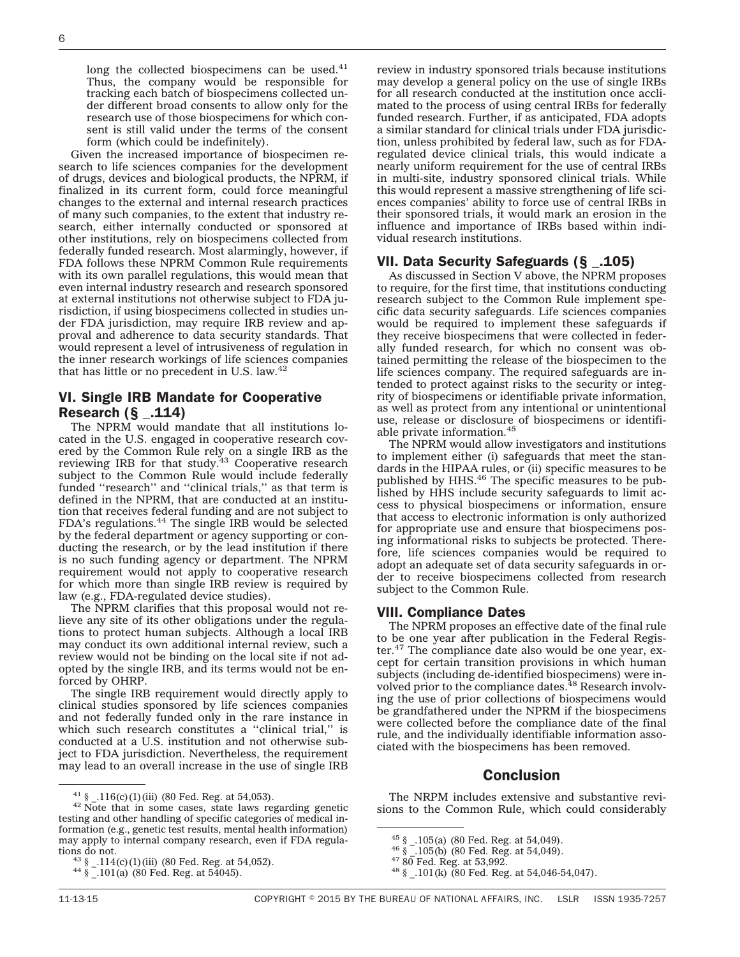long the collected biospecimens can be used.<sup>41</sup> Thus, the company would be responsible for tracking each batch of biospecimens collected under different broad consents to allow only for the research use of those biospecimens for which consent is still valid under the terms of the consent form (which could be indefinitely).

Given the increased importance of biospecimen research to life sciences companies for the development of drugs, devices and biological products, the NPRM, if finalized in its current form, could force meaningful changes to the external and internal research practices of many such companies, to the extent that industry research, either internally conducted or sponsored at other institutions, rely on biospecimens collected from federally funded research. Most alarmingly, however, if FDA follows these NPRM Common Rule requirements with its own parallel regulations, this would mean that even internal industry research and research sponsored at external institutions not otherwise subject to FDA jurisdiction, if using biospecimens collected in studies under FDA jurisdiction, may require IRB review and approval and adherence to data security standards. That would represent a level of intrusiveness of regulation in the inner research workings of life sciences companies that has little or no precedent in U.S. law. $42$ 

#### VI. Single IRB Mandate for Cooperative Research  $(S_$ <sub>-114</sub>)

The NPRM would mandate that all institutions located in the U.S. engaged in cooperative research covered by the Common Rule rely on a single IRB as the reviewing IRB for that study.<sup>43</sup> Cooperative research subject to the Common Rule would include federally funded "research" and "clinical trials," as that term is defined in the NPRM, that are conducted at an institution that receives federal funding and are not subject to FDA's regulations.44 The single IRB would be selected by the federal department or agency supporting or conducting the research, or by the lead institution if there is no such funding agency or department. The NPRM requirement would not apply to cooperative research for which more than single IRB review is required by law (e.g., FDA-regulated device studies).

The NPRM clarifies that this proposal would not relieve any site of its other obligations under the regulations to protect human subjects. Although a local IRB may conduct its own additional internal review, such a review would not be binding on the local site if not adopted by the single IRB, and its terms would not be enforced by OHRP.

The single IRB requirement would directly apply to clinical studies sponsored by life sciences companies and not federally funded only in the rare instance in which such research constitutes a "clinical trial," is conducted at a U.S. institution and not otherwise subject to FDA jurisdiction. Nevertheless, the requirement may lead to an overall increase in the use of single IRB review in industry sponsored trials because institutions may develop a general policy on the use of single IRBs for all research conducted at the institution once acclimated to the process of using central IRBs for federally funded research. Further, if as anticipated, FDA adopts a similar standard for clinical trials under FDA jurisdiction, unless prohibited by federal law, such as for FDAregulated device clinical trials, this would indicate a nearly uniform requirement for the use of central IRBs in multi-site, industry sponsored clinical trials. While this would represent a massive strengthening of life sciences companies' ability to force use of central IRBs in their sponsored trials, it would mark an erosion in the influence and importance of IRBs based within individual research institutions.

## VII. Data Security Safeguards (§ \_.105)

As discussed in Section V above, the NPRM proposes to require, for the first time, that institutions conducting research subject to the Common Rule implement specific data security safeguards. Life sciences companies would be required to implement these safeguards if they receive biospecimens that were collected in federally funded research, for which no consent was obtained permitting the release of the biospecimen to the life sciences company. The required safeguards are intended to protect against risks to the security or integrity of biospecimens or identifiable private information, as well as protect from any intentional or unintentional use, release or disclosure of biospecimens or identifiable private information.<sup>45</sup>

The NPRM would allow investigators and institutions to implement either (i) safeguards that meet the standards in the HIPAA rules, or (ii) specific measures to be published by HHS.<sup>46</sup> The specific measures to be published by HHS include security safeguards to limit access to physical biospecimens or information, ensure that access to electronic information is only authorized for appropriate use and ensure that biospecimens posing informational risks to subjects be protected. Therefore, life sciences companies would be required to adopt an adequate set of data security safeguards in order to receive biospecimens collected from research subject to the Common Rule.

#### VIII. Compliance Dates

The NPRM proposes an effective date of the final rule to be one year after publication in the Federal Register.<sup>47</sup> The compliance date also would be one year, except for certain transition provisions in which human subjects (including de-identified biospecimens) were involved prior to the compliance dates.<sup>48</sup> Research involving the use of prior collections of biospecimens would be grandfathered under the NPRM if the biospecimens were collected before the compliance date of the final rule, and the individually identifiable information associated with the biospecimens has been removed.

#### **Conclusion**

The NRPM includes extensive and substantive revisions to the Common Rule, which could considerably

<sup>&</sup>lt;sup>41</sup> §  $\text{\_}16(c)(1)(iii)$  (80 Fed. Reg. at 54,053). <sup>42</sup> Note that in some cases, state laws regarding genetic testing and other handling of specific categories of medical information (e.g., genetic test results, mental health information) may apply to internal company research, even if FDA regula-

<sup>&</sup>lt;sup>43</sup> §  $-114$ (c)(1)(iii) (80 Fed. Reg. at 54,052).<br><sup>44</sup> §  $-101$ (a) (80 Fed. Reg. at 54045).

<sup>&</sup>lt;sup>45</sup> §  $-.105$ (a) (80 Fed. Reg. at 54,049).<br><sup>46</sup> §  $-.105$ (b) (80 Fed. Reg. at 54,049).<br><sup>47</sup> 80 Fed. Reg. at 53,992.<br><sup>48</sup> §  $.101$ (k) (80 Fed. Reg. at 54,046-54,047).